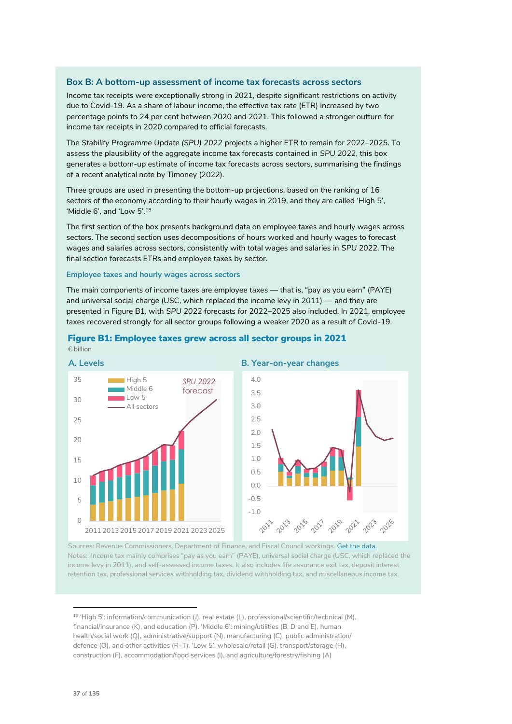## **Box B: A bottom-up assessment of income tax forecasts across sectors**

Income tax receipts were exceptionally strong in 2021, despite significant restrictions on activity due to Covid-19. As a share of labour income, the effective tax rate (ETR) increased by two percentage points to 24 per cent between 2020 and 2021. This followed a stronger outturn for income tax receipts in 2020 compared to official forecasts.

The *Stability Programme Update (SPU) 2022* projects a higher ETR to remain for 2022–2025. To assess the plausibility of the aggregate income tax forecasts contained in *SPU 2022*, this box generates a bottom-up estimate of income tax forecasts across sectors, summarising the findings of a recent analytical note by Timoney (2022).

Three groups are used in presenting the bottom-up projections, based on the ranking of 16 sectors of the economy according to their hourly wages in 2019, and they are called 'High 5', 'Middle 6', and 'Low 5'.<sup>18</sup>

The first section of the box presents background data on employee taxes and hourly wages across sectors. The second section uses decompositions of hours worked and hourly wages to forecast wages and salaries across sectors, consistently with total wages and salaries in *SPU 2022*. The final section forecasts ETRs and employee taxes by sector.

#### **Employee taxes and hourly wages across sectors**

The main components of income taxes are employee taxes — that is, "pay as you earn" (PAYE) and universal social charge (USC, which replaced the income levy in 2011) — and they are presented in Figure B1, with *SPU 2022* forecasts for 2022–2025 also included. In 2021, employee taxes recovered strongly for all sector groups following a weaker 2020 as a result of Covid-19.



## Figure B1: Employee taxes grew across all sector groups in 2021 € billion

Sources: Revenue Commissioners, Department of Finance, and Fiscal Council workings. <u>Get the data.</u> Notes: Income tax mainly comprises "pay as you earn" (PAYE), universal social charge (USC, which replaced the income levy in 2011), and self-assessed income taxes. It also includes life assurance exit tax, deposit interest retention tax, professional services withholding tax, dividend withholding tax, and miscellaneous income tax.

<sup>&</sup>lt;sup>18</sup> 'High 5': information/communication (J), real estate (L), professional/scientific/technical (M), financial/insurance (K), and education (P). 'Middle 6': mining/utilities (B, D and E), human health/social work (Q), administrative/support (N), manufacturing (C), public administration/ defence (O), and other activities (R–T). 'Low 5': wholesale/retail (G), transport/storage (H), construction (F), accommodation/food services (I), and agriculture/forestry/fishing (A)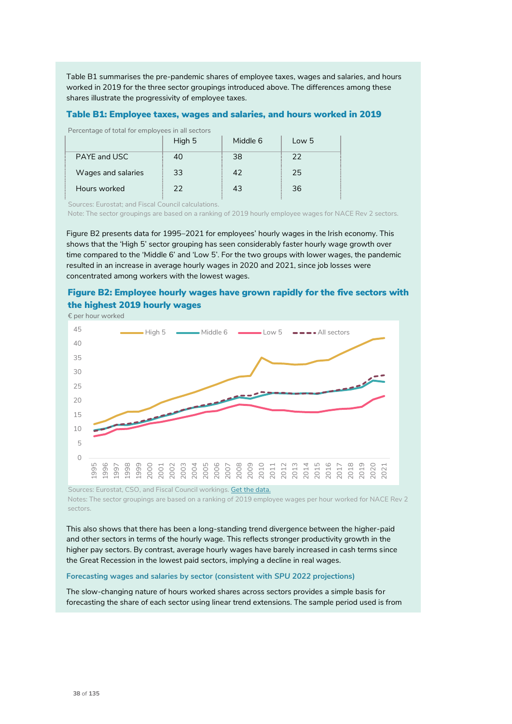Table B1 summarises the pre-pandemic shares of employee taxes, wages and salaries, and hours worked in 2019 for the three sector groupings introduced above. The differences among these shares illustrate the progressivity of employee taxes.

# Table B1: Employee taxes, wages and salaries, and hours worked in 2019

Percentage of total for employees in all sectors

|                    | High 5 | Middle 6 | Low 5 |
|--------------------|--------|----------|-------|
| PAYE and USC       | 40     | 38       | 22    |
| Wages and salaries | 33     | 42       | 25    |
| Hours worked       | フフ     | 43       | 36    |

Sources: Eurostat; and Fiscal Council calculations.

Note: The sector groupings are based on a ranking of 2019 hourly employee wages for NACE Rev 2 sectors.

Figure B2 presents data for 1995–2021 for employees' hourly wages in the Irish economy. This shows that the 'High 5' sector grouping has seen considerably faster hourly wage growth over time compared to the 'Middle 6' and 'Low 5'. For the two groups with lower wages, the pandemic resulted in an increase in average hourly wages in 2020 and 2021, since job losses were concentrated among workers with the lowest wages.

# Figure B2: Employee hourly wages have grown rapidly for the five sectors with the highest 2019 hourly wages



Notes: The sector groupings are based on a ranking of 2019 employee wages per hour worked for NACE Rev 2 sectors.

This also shows that there has been a long-standing trend divergence between the higher-paid and other sectors in terms of the hourly wage. This reflects stronger productivity growth in the higher pay sectors. By contrast, average hourly wages have barely increased in cash terms since the Great Recession in the lowest paid sectors, implying a decline in real wages.

#### **Forecasting wages and salaries by sector (consistent with** *SPU 2022* **projections)**

The slow-changing nature of hours worked shares across sectors provides a simple basis for forecasting the share of each sector using linear trend extensions. The sample period used is from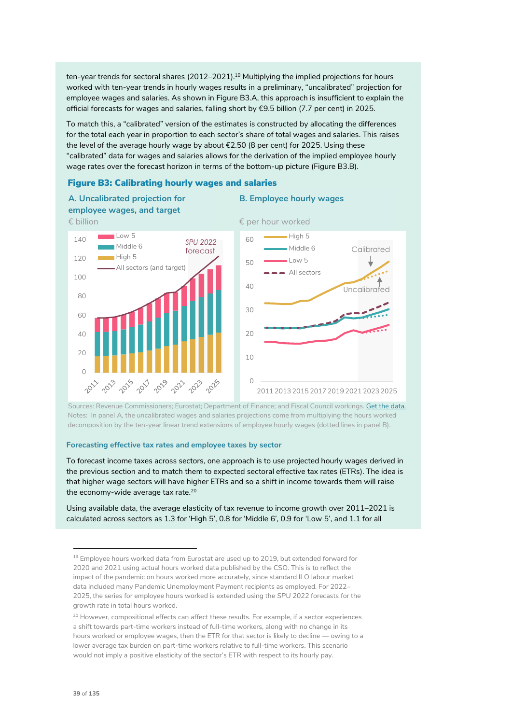ten-year trends for sectoral shares (2012–2021).<sup>19</sup> Multiplying the implied projections for hours worked with ten-year trends in hourly wages results in a preliminary, "uncalibrated" projection for employee wages and salaries. As shown in Figure B3.A, this approach is insufficient to explain the official forecasts for wages and salaries, falling short by €9.5 billion (7.7 per cent) in 2025.

To match this, a "calibrated" version of the estimates is constructed by allocating the differences for the total each year in proportion to each sector's share of total wages and salaries. This raises the level of the average hourly wage by about €2.50 (8 per cent) for 2025. Using these "calibrated" data for wages and salaries allows for the derivation of the implied employee hourly wage rates over the forecast horizon in terms of the bottom-up picture (Figure B3.B).

**B. Employee hourly wages**

## Figure B3: Calibrating hourly wages and salaries



**A. Uncalibrated projection for employee wages, and target**

Sources: Revenue Commissioners; Eurostat; Department of Finance; and Fiscal Council workings. <u>Get the data.</u> Notes: In panel A, the uncalibrated wages and salaries projections come from multiplying the hours worked decomposition by the ten-year linear trend extensions of employee hourly wages (dotted lines in panel B).

#### **Forecasting effective tax rates and employee taxes by sector**

To forecast income taxes across sectors, one approach is to use projected hourly wages derived in the previous section and to match them to expected sectoral effective tax rates (ETRs). The idea is that higher wage sectors will have higher ETRs and so a shift in income towards them will raise the economy-wide average tax rate.<sup>20</sup>

Using available data, the average elasticity of tax revenue to income growth over 2011–2021 is calculated across sectors as 1.3 for 'High 5', 0.8 for 'Middle 6', 0.9 for 'Low 5', and 1.1 for all

<sup>&</sup>lt;sup>19</sup> Employee hours worked data from Eurostat are used up to 2019, but extended forward for 2020 and 2021 using actual hours worked data published by the CSO. This is to reflect the impact of the pandemic on hours worked more accurately, since standard ILO labour market data included many Pandemic Unemployment Payment recipients as employed. For 2022– 2025, the series for employee hours worked is extended using the *SPU 2022* forecasts for the growth rate in total hours worked.

<sup>&</sup>lt;sup>20</sup> However, compositional effects can affect these results. For example, if a sector experiences a shift towards part-time workers instead of full-time workers, along with no change in its hours worked or employee wages, then the ETR for that sector is likely to decline — owing to a lower average tax burden on part-time workers relative to full-time workers. This scenario would not imply a positive elasticity of the sector's ETR with respect to its hourly pay.